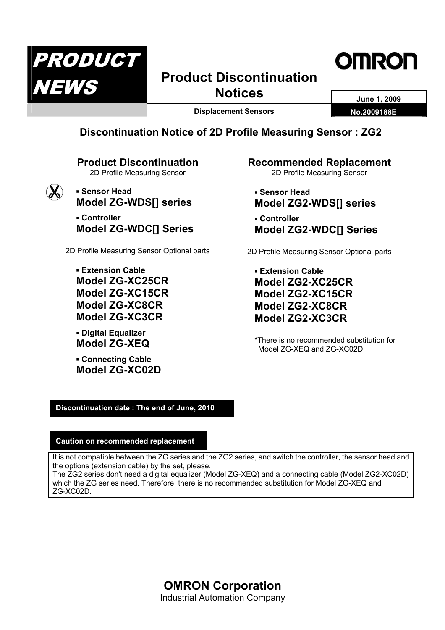

# **Product Discontinuation Notices** June 1, 2009



**Displacement Sensors No.2009188E** 

**Discontinuation Notice of 2D Profile Measuring Sensor : ZG2** 

## **Product Discontinuation**  2D Profile Measuring Sensor



**Model ZG-WDS[] series**  ▪ **Controller Model ZG-WDC[] Series** 

2D Profile Measuring Sensor Optional parts

▪ **Extension Cable Model ZG-XC25CR Model ZG-XC15CR Model ZG-XC8CR Model ZG-XC3CR** 

▪ **Digital Equalizer Model ZG-XEQ** 

▪ **Sensor Head** 

▪ **Connecting Cable Model ZG-XC02D**  **Recommended Replacement**  2D Profile Measuring Sensor

▪ **Sensor Head Model ZG2-WDS[] series** 

▪ **Controller Model ZG2-WDC[] Series** 

2D Profile Measuring Sensor Optional parts

▪ **Extension Cable Model ZG2-XC25CR Model ZG2-XC15CR Model ZG2-XC8CR Model ZG2-XC3CR** 

\*There is no recommended substitution for Model ZG-XEQ and ZG-XC02D.

## **Discontinuation date : The end of June, 2010**

## **Caution on recommended replacement**

It is not compatible between the ZG series and the ZG2 series, and switch the controller, the sensor head and the options (extension cable) by the set, please. The ZG2 series don't need a digital equalizer (Model ZG-XEQ) and a connecting cable (Model ZG2-XC02D)

which the ZG series need. Therefore, there is no recommended substitution for Model ZG-XEQ and ZG-XC02D.

> **OMRON Corporation**  Industrial Automation Company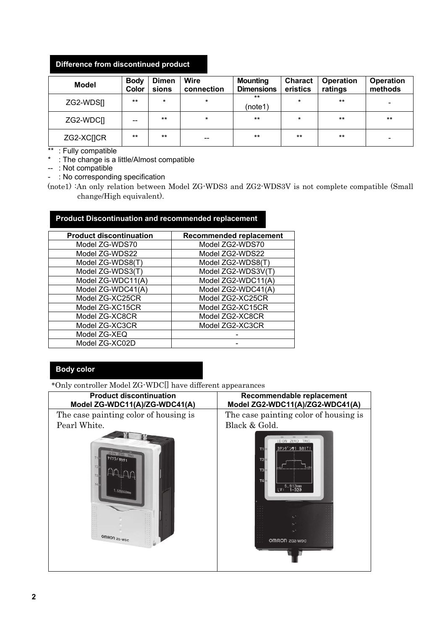## **Difference from discontinued product**

| <b>Model</b>           | <b>Body</b><br>Color | <b>Dimen</b><br>sions | <b>Wire</b><br>connection | <b>Mounting</b><br><b>Dimensions</b> | <b>Charact</b><br>eristics | <b>Operation</b><br>ratings | <b>Operation</b><br>methods |
|------------------------|----------------------|-----------------------|---------------------------|--------------------------------------|----------------------------|-----------------------------|-----------------------------|
| ZG2-WDS[]              | $***$                | $\star$               | $\star$                   | $***$<br>(note1)                     | $\star$                    | $***$                       | -                           |
| ZG2-WDCII              | --                   | $***$                 | $\star$                   | $***$                                | $\star$                    | $***$                       | $***$                       |
| ZG2-XC <sub>I</sub> CR | $***$                | $***$                 | $- -$                     | $***$                                | $***$                      | $***$                       | $\overline{\phantom{a}}$    |

\*\* : Fully compatible

\* : The change is a little/Almost compatible

-- : Not compatible

- : No corresponding specification

(note1) :An only relation between Model ZG-WDS3 and ZG2-WDS3V is not complete compatible (Small change/High equivalent).

## **Product Discontinuation and recommended replacement**

| <b>Product discontinuation</b> | <b>Recommended replacement</b> |
|--------------------------------|--------------------------------|
| Model ZG-WDS70                 | Model ZG2-WDS70                |
| Model ZG-WDS22                 | Model ZG2-WDS22                |
| Model ZG-WDS8(T)               | Model ZG2-WDS8(T)              |
| Model ZG-WDS3(T)               | Model ZG2-WDS3V(T)             |
| Model ZG-WDC11(A)              | Model ZG2-WDC11(A)             |
| Model ZG-WDC41(A)              | Model ZG2-WDC41(A)             |
| Model ZG-XC25CR                | Model ZG2-XC25CR               |
| Model ZG-XC15CR                | Model ZG2-XC15CR               |
| Model ZG-XC8CR                 | Model ZG2-XC8CR                |
| Model ZG-XC3CR                 | Model ZG2-XC3CR                |
| Model ZG-XEQ                   |                                |
| Model ZG-XC02D                 |                                |

## **Body color**

\*Only controller Model ZG-WDC[] have different appearances

| <b>Product discontinuation</b><br>Model ZG-WDC11(A)/ZG-WDC41(A) | Recommendable replacement<br>Model ZG2-WDC11(A)/ZG2-WDC41(A)                                          |
|-----------------------------------------------------------------|-------------------------------------------------------------------------------------------------------|
| The case painting color of housing is                           | The case painting color of housing is                                                                 |
| Pearl White.                                                    | Black & Gold.                                                                                         |
| $\overline{12}$<br>TA<br>.58842 <sub>mm</sub><br>OMRON 2G-WDC   | LD ON ZERO TRIG<br>37>9" > +1 B01T1<br>T2<br>T3<br><b>T4</b><br>5.913mm<br>$1 - 320$<br>OMRON ZG2-WDC |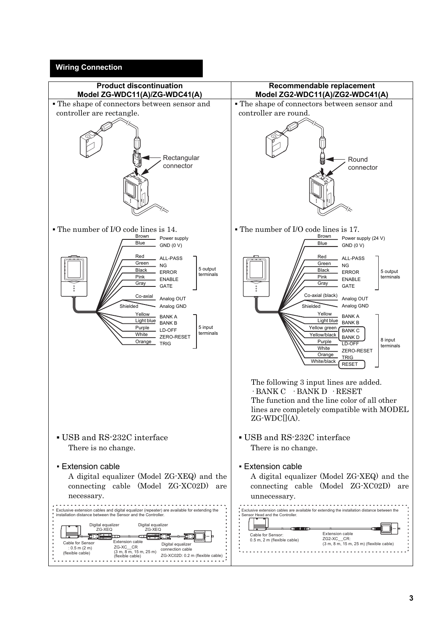#### **Wiring Connection**

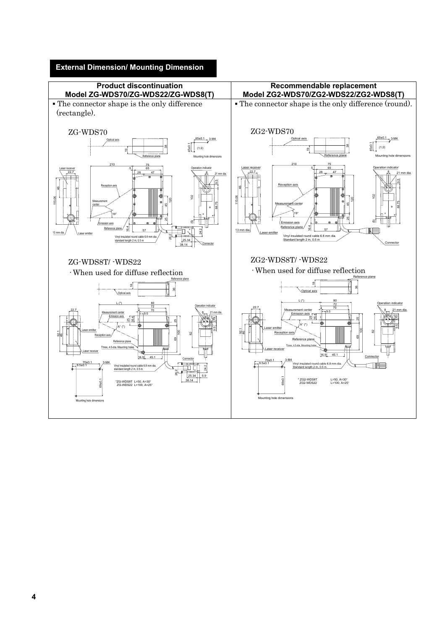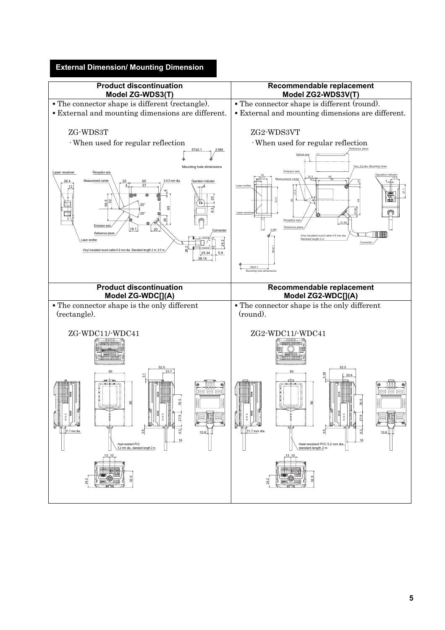

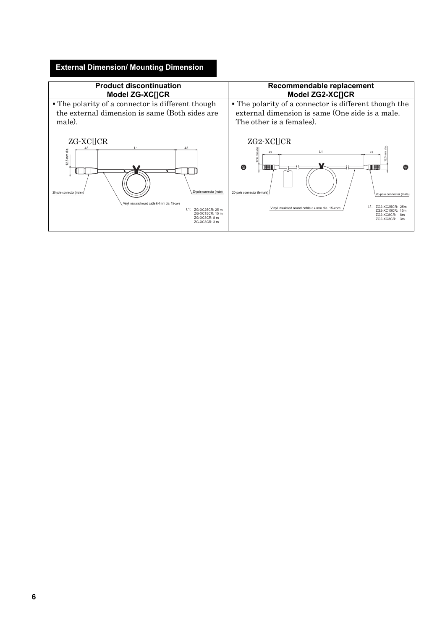## **External Dimension/ Mounting Dimension**

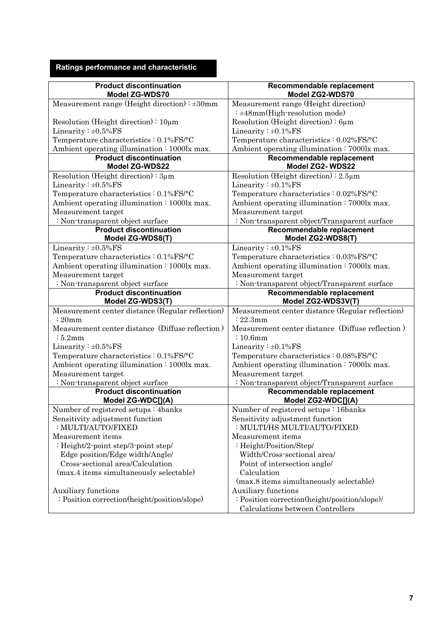# **Ratings performance and characteristic**

| <b>Product discontinuation</b><br>Model ZG-WDS70        | Recommendable replacement<br>Model ZG2-WDS70     |
|---------------------------------------------------------|--------------------------------------------------|
| Measurement range (Height direction) $\pm 30$ mm        | Measurement range (Height direction)             |
|                                                         | : ±48mm(High-resolution mode)                    |
| Resolution (Height direction) : $10 \mu m$              | Resolution (Height direction): $6\mu m$          |
| Linearity: $\pm 0.5\%$ FS                               | Linearity: $\pm 0.1\%$ FS                        |
| Temperature characteristics: 0.1%FS/°C                  | Temperature characteristics: 0.02%FS/°C          |
| Ambient operating illumination: 1000lx max.             | Ambient operating illumination: 7000lx max.      |
| <b>Product discontinuation</b><br><b>Model ZG-WDS22</b> | Recommendable replacement<br>Model ZG2-WDS22     |
| Resolution (Height direction): 3µm                      | Resolution (Height direction) : $2.5\mu$ m       |
| Linearity: $\pm 0.5\%$ FS                               | Linearity: $\pm 0.1\%$ FS                        |
| Temperature characteristics : 0.1%FS/°C                 | Temperature characteristics: 0.02%FS/°C          |
| Ambient operating illumination: 1000lx max.             | Ambient operating illumination: 7000lx max.      |
| Measurement target                                      | Measurement target                               |
| : Non-transparent object surface                        | : Non-transparent object/Transparent surface     |
| <b>Product discontinuation</b><br>Model ZG-WDS8(T)      | Recommendable replacement<br>Model ZG2-WDS8(T)   |
| Linearity: ±0.5%FS                                      | Linearity: ±0.1%FS                               |
| Temperature characteristics: 0.1%FS/°C                  | Temperature characteristics: 0.03%FS/°C          |
| Ambient operating illumination: 1000lx max.             | Ambient operating illumination: 7000lx max.      |
| Measurement target                                      | Measurement target                               |
| : Non-transparent object surface                        | : Non-transparent object/Transparent surface     |
| <b>Product discontinuation</b>                          | Recommendable replacement                        |
| Model ZG-WDS3(T)                                        | Model ZG2-WDS3V(T)                               |
| Measurement center distance (Regular reflection)        | Measurement center distance (Regular reflection) |
| : 20mm                                                  | : 22.3mm                                         |
| Measurement center distance (Diffuse reflection)        | Measurement center distance (Diffuse reflection) |
| :5.2mm                                                  | $:10.6$ mm                                       |
| Linearity: $\pm 0.5\%$ FS                               | Linearity: $\pm 0.1\%$ FS                        |
| Temperature characteristics: 0.1%FS/°C                  | Temperature characteristics: 0.08%FS/°C          |
| Ambient operating illumination: 1000lx max.             | Ambient operating illumination: 7000lx max.      |
| Measurement target                                      | Measurement target                               |
| : Non-transparent object surface                        | : Non-transparent object/Transparent surface     |
| <b>Product discontinuation</b><br>Model ZG-WDC[](A)     | Recommendable replacement<br>Model ZG2-WDC[](A)  |
| Number of registered setups: 4banks                     | Number of registered setups: 16banks             |
| Sensitivity adjustment function                         | Sensitivity adjustment function                  |
| : MULTI/AUTO/FIXED                                      | : MULTI/HS MULTI/AUTO/FIXED                      |
| Measurement items                                       | Measurement items                                |
| : Height/2-point step/3-point step/                     | : Height/Position/Step/                          |
| Edge position/Edge width/Angle/                         | Width/Cross-sectional area/                      |
| Cross-sectional area/Calculation                        | Point of intersection angle/                     |
| (max.4 items simultaneously selectable)                 | Calculation                                      |
|                                                         | (max.8 items simultaneously selectable)          |
| Auxiliary functions                                     | Auxiliary functions                              |
| : Position correction(height/position/slope)            | : Position correction(height/position/slope)/    |
|                                                         | Calculations between Controllers                 |